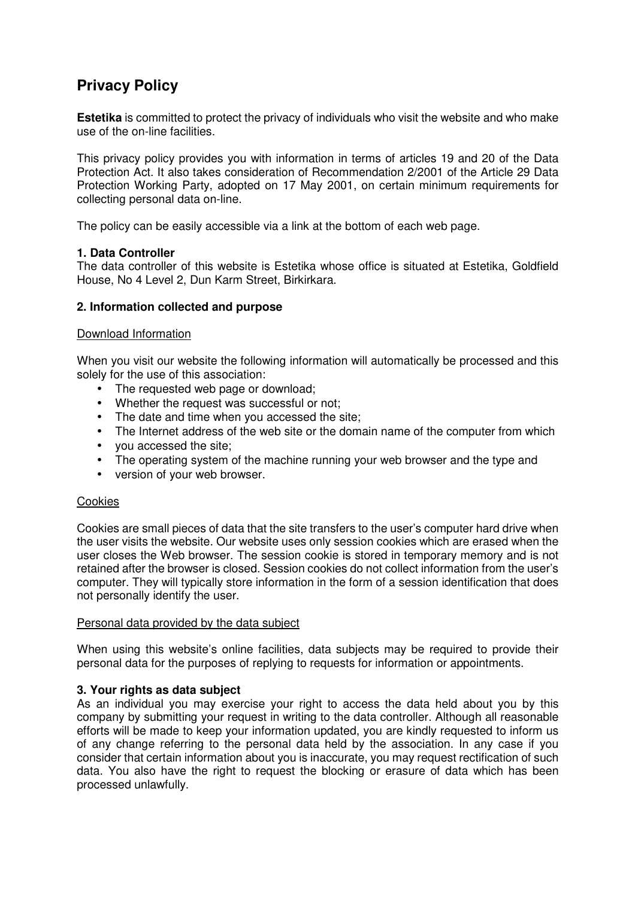# **Privacy Policy**

**Estetika** is committed to protect the privacy of individuals who visit the website and who make use of the on-line facilities.

This privacy policy provides you with information in terms of articles 19 and 20 of the Data Protection Act. It also takes consideration of Recommendation 2/2001 of the Article 29 Data Protection Working Party, adopted on 17 May 2001, on certain minimum requirements for collecting personal data on-line.

The policy can be easily accessible via a link at the bottom of each web page.

# **1. Data Controller**

The data controller of this website is Estetika whose office is situated at Estetika, Goldfield House, No 4 Level 2, Dun Karm Street, Birkirkara.

# **2. Information collected and purpose**

# Download Information

When you visit our website the following information will automatically be processed and this solely for the use of this association:

- The requested web page or download;
- Whether the request was successful or not;
- The date and time when you accessed the site;
- The Internet address of the web site or the domain name of the computer from which
- vou accessed the site:
- The operating system of the machine running your web browser and the type and
- version of your web browser.

# **Cookies**

Cookies are small pieces of data that the site transfers to the user's computer hard drive when the user visits the website. Our website uses only session cookies which are erased when the user closes the Web browser. The session cookie is stored in temporary memory and is not retained after the browser is closed. Session cookies do not collect information from the user's computer. They will typically store information in the form of a session identification that does not personally identify the user.

### Personal data provided by the data subject

When using this website's online facilities, data subjects may be required to provide their personal data for the purposes of replying to requests for information or appointments.

# **3. Your rights as data subject**

As an individual you may exercise your right to access the data held about you by this company by submitting your request in writing to the data controller. Although all reasonable efforts will be made to keep your information updated, you are kindly requested to inform us of any change referring to the personal data held by the association. In any case if you consider that certain information about you is inaccurate, you may request rectification of such data. You also have the right to request the blocking or erasure of data which has been processed unlawfully.